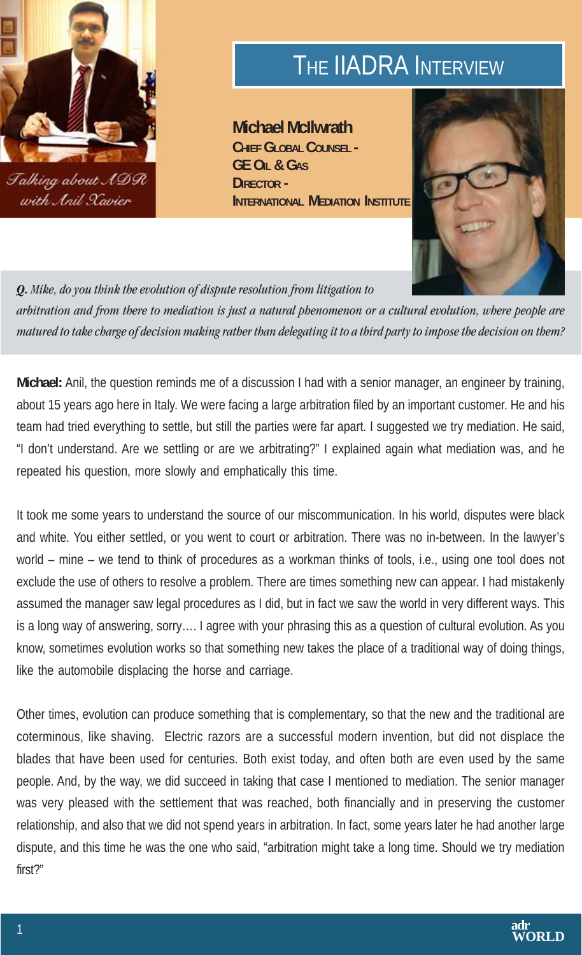

## THE **IIADRA** INTERVIEW

**Michael McIlwrath CHIEF GLOBAL COUNSEL - GE OIL & GAS DIRECTOR - INTERNATIONAL MEDIATION INSTITUTE** 



*Q. Mike, do you think the evolution of dispute resolution from litigation to arbitration and from there to mediation is just a natural phenomenon or a cultural evolution, where people are matured to take charge of decision making rather than delegating it to a third party to impose the decision on them?*

**Michael:** Anil, the question reminds me of a discussion I had with a senior manager, an engineer by training, about 15 years ago here in Italy. We were facing a large arbitration filed by an important customer. He and his team had tried everything to settle, but still the parties were far apart. I suggested we try mediation. He said, "I don't understand. Are we settling or are we arbitrating?" I explained again what mediation was, and he repeated his question, more slowly and emphatically this time.

It took me some years to understand the source of our miscommunication. In his world, disputes were black and white. You either settled, or you went to court or arbitration. There was no in-between. In the lawyer's world – mine – we tend to think of procedures as a workman thinks of tools, i.e., using one tool does not exclude the use of others to resolve a problem. There are times something new can appear. I had mistakenly assumed the manager saw legal procedures as I did, but in fact we saw the world in very different ways. This is a long way of answering, sorry…. I agree with your phrasing this as a question of cultural evolution. As you know, sometimes evolution works so that something new takes the place of a traditional way of doing things, like the automobile displacing the horse and carriage.

Other times, evolution can produce something that is complementary, so that the new and the traditional are coterminous, like shaving. Electric razors are a successful modern invention, but did not displace the blades that have been used for centuries. Both exist today, and often both are even used by the same people. And, by the way, we did succeed in taking that case I mentioned to mediation. The senior manager was very pleased with the settlement that was reached, both financially and in preserving the customer relationship, and also that we did not spend years in arbitration. In fact, some years later he had another large dispute, and this time he was the one who said, "arbitration might take a long time. Should we try mediation first?"

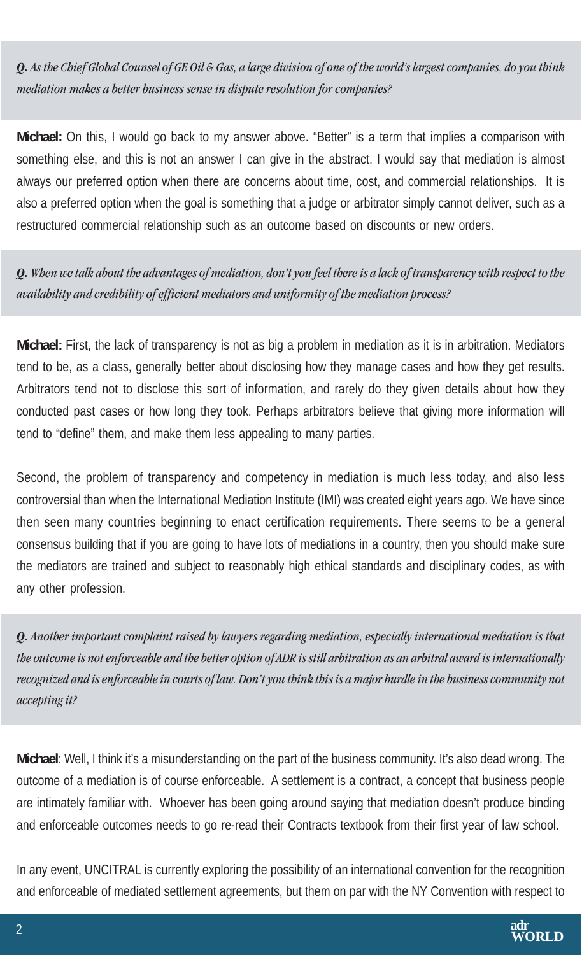*Q. As the Chief Global Counsel of GE Oil & Gas, a large division of one of the world's largest companies, do you think mediation makes a better business sense in dispute resolution for companies?*

**Michael:** On this, I would go back to my answer above. "Better" is a term that implies a comparison with something else, and this is not an answer I can give in the abstract. I would say that mediation is almost always our preferred option when there are concerns about time, cost, and commercial relationships. It is also a preferred option when the goal is something that a judge or arbitrator simply cannot deliver, such as a restructured commercial relationship such as an outcome based on discounts or new orders.

*Q. When we talk about the advantages of mediation, don't you feel there is a lack of transparency with respect to the availability and credibility of efficient mediators and uniformity of the mediation process?*

**Michael:** First, the lack of transparency is not as big a problem in mediation as it is in arbitration. Mediators tend to be, as a class, generally better about disclosing how they manage cases and how they get results. Arbitrators tend not to disclose this sort of information, and rarely do they given details about how they conducted past cases or how long they took. Perhaps arbitrators believe that giving more information will tend to "define" them, and make them less appealing to many parties.

Second, the problem of transparency and competency in mediation is much less today, and also less controversial than when the International Mediation Institute (IMI) was created eight years ago. We have since then seen many countries beginning to enact certification requirements. There seems to be a general consensus building that if you are going to have lots of mediations in a country, then you should make sure the mediators are trained and subject to reasonably high ethical standards and disciplinary codes, as with any other profession.

*Q. Another important complaint raised by lawyers regarding mediation, especially international mediation is that the outcome is not enforceable and the better option of ADR is still arbitration as an arbitral award is internationally recognized and is enforceable in courts of law. Don't you think this is a major hurdle in the business community not accepting it?*

**Michael**: Well, I think it's a misunderstanding on the part of the business community. It's also dead wrong. The outcome of a mediation is of course enforceable. A settlement is a contract, a concept that business people are intimately familiar with. Whoever has been going around saying that mediation doesn't produce binding and enforceable outcomes needs to go re-read their Contracts textbook from their first year of law school.

In any event, UNCITRAL is currently exploring the possibility of an international convention for the recognition and enforceable of mediated settlement agreements, but them on par with the NY Convention with respect to

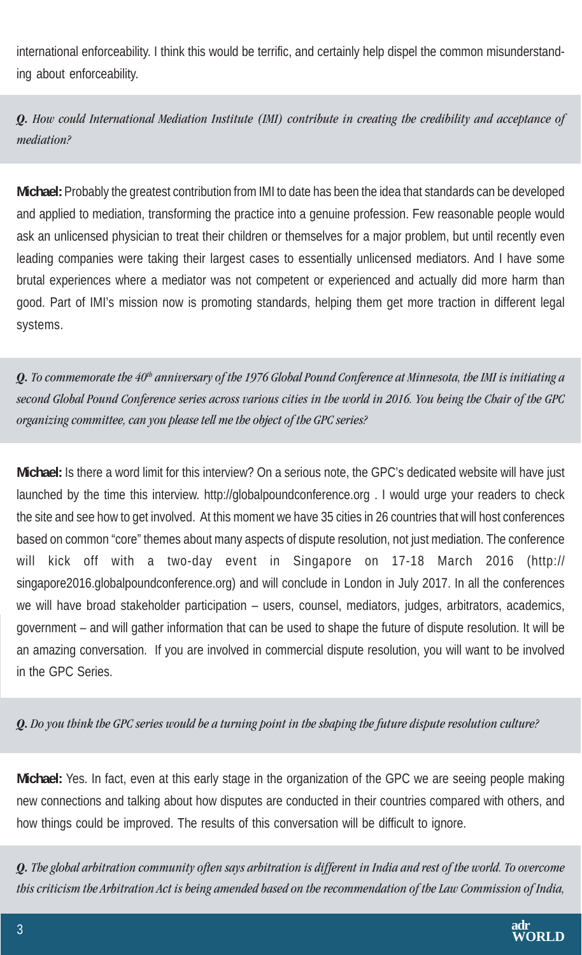international enforceability. I think this would be terrific, and certainly help dispel the common misunderstanding about enforceability.

*Q. How could International Mediation Institute (IMI) contribute in creating the credibility and acceptance of mediation?*

**Michael:** Probably the greatest contribution from IMI to date has been the idea that standards can be developed and applied to mediation, transforming the practice into a genuine profession. Few reasonable people would ask an unlicensed physician to treat their children or themselves for a major problem, but until recently even leading companies were taking their largest cases to essentially unlicensed mediators. And I have some brutal experiences where a mediator was not competent or experienced and actually did more harm than good. Part of IMI's mission now is promoting standards, helping them get more traction in different legal systems.

*Q. To commemorate the 40th anniversary of the 1976 Global Pound Conference at Minnesota, the IMI is initiating a second Global Pound Conference series across various cities in the world in 2016. You being the Chair of the GPC organizing committee, can you please tell me the object of the GPC series?*

**Michael:** Is there a word limit for this interview? On a serious note, the GPC's dedicated website will have just launched by the time this interview. http://globalpoundconference.org . I would urge your readers to check the site and see how to get involved. At this moment we have 35 cities in 26 countries that will host conferences based on common "core" themes about many aspects of dispute resolution, not just mediation. The conference will kick off with a two-day event in Singapore on 17-18 March 2016 (http:// singapore2016.globalpoundconference.org) and will conclude in London in July 2017. In all the conferences we will have broad stakeholder participation – users, counsel, mediators, judges, arbitrators, academics, government – and will gather information that can be used to shape the future of dispute resolution. It will be an amazing conversation. If you are involved in commercial dispute resolution, you will want to be involved in the GPC Series.

*Q. Do you think the GPC series would be a turning point in the shaping the future dispute resolution culture?*

**Michael:** Yes. In fact, even at this early stage in the organization of the GPC we are seeing people making new connections and talking about how disputes are conducted in their countries compared with others, and how things could be improved. The results of this conversation will be difficult to ignore.

*Q. The global arbitration community often says arbitration is different in India and rest of the world. To overcome this criticism the Arbitration Act is being amended based on the recommendation of the Law Commission of India,*

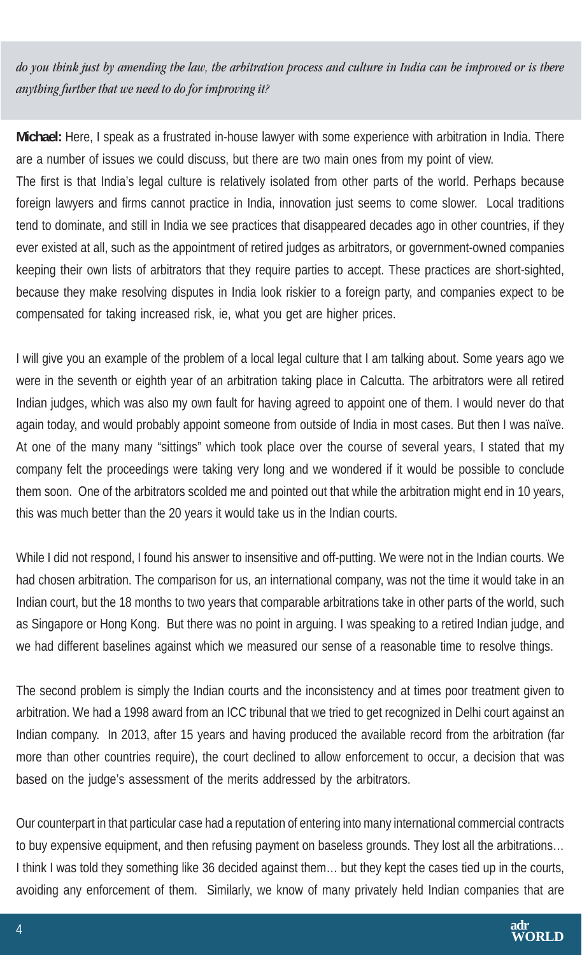*do you think just by amending the law, the arbitration process and culture in India can be improved or is there anything further that we need to do for improving it?*

**Michael:** Here, I speak as a frustrated in-house lawyer with some experience with arbitration in India. There are a number of issues we could discuss, but there are two main ones from my point of view.

The first is that India's legal culture is relatively isolated from other parts of the world. Perhaps because foreign lawyers and firms cannot practice in India, innovation just seems to come slower. Local traditions tend to dominate, and still in India we see practices that disappeared decades ago in other countries, if they ever existed at all, such as the appointment of retired judges as arbitrators, or government-owned companies keeping their own lists of arbitrators that they require parties to accept. These practices are short-sighted, because they make resolving disputes in India look riskier to a foreign party, and companies expect to be compensated for taking increased risk, ie, what you get are higher prices.

I will give you an example of the problem of a local legal culture that I am talking about. Some years ago we were in the seventh or eighth year of an arbitration taking place in Calcutta. The arbitrators were all retired Indian judges, which was also my own fault for having agreed to appoint one of them. I would never do that again today, and would probably appoint someone from outside of India in most cases. But then I was naïve. At one of the many many "sittings" which took place over the course of several years, I stated that my company felt the proceedings were taking very long and we wondered if it would be possible to conclude them soon. One of the arbitrators scolded me and pointed out that while the arbitration might end in 10 years, this was much better than the 20 years it would take us in the Indian courts.

While I did not respond, I found his answer to insensitive and off-putting. We were not in the Indian courts. We had chosen arbitration. The comparison for us, an international company, was not the time it would take in an Indian court, but the 18 months to two years that comparable arbitrations take in other parts of the world, such as Singapore or Hong Kong. But there was no point in arguing. I was speaking to a retired Indian judge, and we had different baselines against which we measured our sense of a reasonable time to resolve things.

The second problem is simply the Indian courts and the inconsistency and at times poor treatment given to arbitration. We had a 1998 award from an ICC tribunal that we tried to get recognized in Delhi court against an Indian company. In 2013, after 15 years and having produced the available record from the arbitration (far more than other countries require), the court declined to allow enforcement to occur, a decision that was based on the judge's assessment of the merits addressed by the arbitrators.

Our counterpart in that particular case had a reputation of entering into many international commercial contracts to buy expensive equipment, and then refusing payment on baseless grounds. They lost all the arbitrations… I think I was told they something like 36 decided against them… but they kept the cases tied up in the courts, avoiding any enforcement of them. Similarly, we know of many privately held Indian companies that are